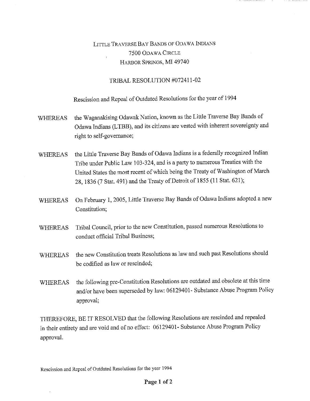## LITTLE TRAVERSE BAY BANDS OF ODAWA INDIANS 7500 ODAWA CIRCLE HARBOR SPRINGS, MI 49740

## TRIBAL RESOLUTION #072411-02

Rescission and Repeal of Outdated Resolutions for the year of 1994

- WHEREAS the Waganakising Odawak Nation, known as the Little Traverse Bay Bands of Odawa Indians (LTBB), and its citizens are vested with inherent sovereignty and right to self-governance;
- WHEREAS the Little Traverse Bay Bands of Odawa Indians is a federally recognized Indian Tribe under Public Law 103-324, and is a party to numerous Treaties with the United States the most recent of which being the Treaty of Washington of March 28, 1836 (7 Stat. 491) and the Treaty of Detroit of 1855 (11 Stat. 621);
- WHEREAS On February 1, 2005, Little Traverse Bay Bands of Odawa Indians adopted a new Constitution;
- WHEREAS Tribal Council, prior to the new Constitution, passed numerous Resolutions to conduct official Tribal Business;
- WHEREAS the new Constitution treats Resolutions as law and such past Resolutions should be codified as law or rescinded;
- WHEREAS the following pre-Constitution Resolutions are outdated and obsolete at this time and/or have been superseded by law: 06129401- Substance Abuse Program Policy approval;

THEREFORE, BE IT RESOLVED that the following Resolutions are rescinded and repealed in their entirety and are void and of no effect: 06129401- Substance Abuse Program Policy approval.